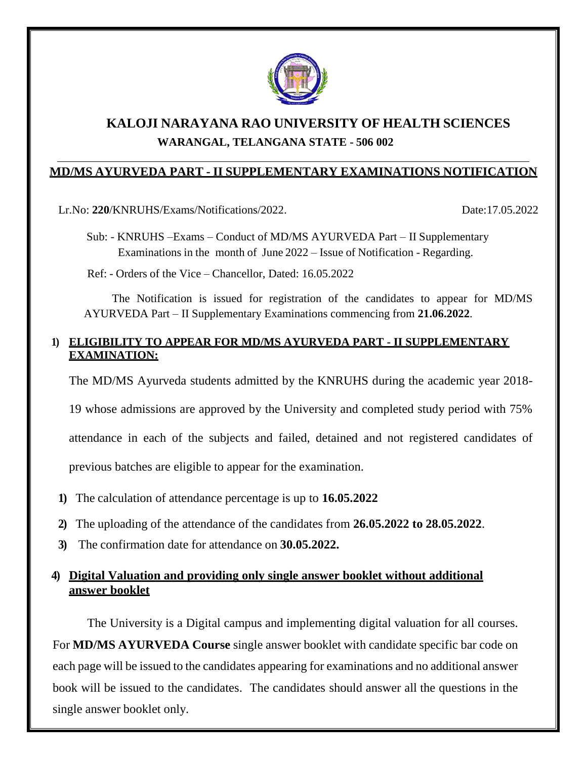

# **KALOJI NARAYANA RAO UNIVERSITY OF HEALTH SCIENCES WARANGAL, TELANGANA STATE - 506 002**

### **MD/MS AYURVEDA PART - II SUPPLEMENTARY EXAMINATIONS NOTIFICATION**

Lr.No: **220**/KNRUHS/Exams/Notifications/2022. Date:17.05.2022

Sub: - KNRUHS –Exams – Conduct of MD/MS AYURVEDA Part – II Supplementary Examinations in the month of June 2022 – Issue of Notification - Regarding.

Ref: - Orders of the Vice – Chancellor, Dated: 16.05.2022

The Notification is issued for registration of the candidates to appear for MD/MS AYURVEDA Part – II Supplementary Examinations commencing from **21.06.2022**.

### **1) ELIGIBILITY TO APPEAR FOR MD/MS AYURVEDA PART - II SUPPLEMENTARY EXAMINATION:**

The MD/MS Ayurveda students admitted by the KNRUHS during the academic year 2018-

19 whose admissions are approved by the University and completed study period with 75%

attendance in each of the subjects and failed, detained and not registered candidates of

previous batches are eligible to appear for the examination.

- **1)** The calculation of attendance percentage is up to **16.05.2022**
- **2)** The uploading of the attendance of the candidates from **26.05.2022 to 28.05.2022**.
- **3)** The confirmation date for attendance on **30.05.2022.**

## **4) Digital Valuation and providing only single answer booklet without additional answer booklet**

The University is a Digital campus and implementing digital valuation for all courses. For **MD/MS AYURVEDA Course** single answer booklet with candidate specific bar code on each page will be issued to the candidates appearing for examinations and no additional answer book will be issued to the candidates. The candidates should answer all the questions in the single answer booklet only.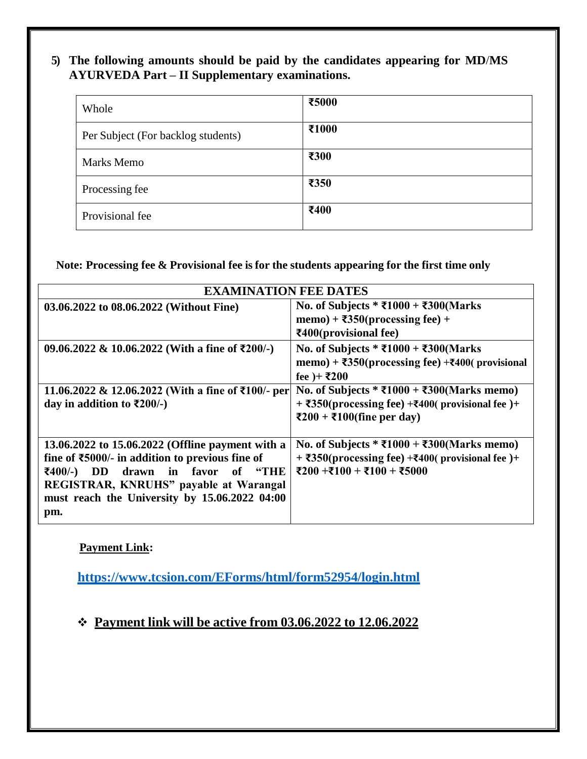## **5) The following amounts should be paid by the candidates appearing for MD**/**MS AYURVEDA Part – II Supplementary examinations.**

| Whole                              | ₹5000 |
|------------------------------------|-------|
| Per Subject (For backlog students) | ₹1000 |
| <b>Marks Memo</b>                  | ₹300  |
| Processing fee                     | ₹350  |
| Provisional fee                    | ₹400  |

**Note: Processing fee & Provisional fee is for the students appearing for the first time only**

| <b>EXAMINATION FEE DATES</b>                                                                                                                                                                                                                                                  |                                                                                                                                                                                     |  |  |  |
|-------------------------------------------------------------------------------------------------------------------------------------------------------------------------------------------------------------------------------------------------------------------------------|-------------------------------------------------------------------------------------------------------------------------------------------------------------------------------------|--|--|--|
| 03.06.2022 to 08.06.2022 (Without Fine)                                                                                                                                                                                                                                       | No. of Subjects * ₹1000 + ₹300(Marks<br>memo) + $\overline{\text{350}}$ (processing fee) +<br>$\bar{x}400$ (provisional fee)                                                        |  |  |  |
| 09.06.2022 & 10.06.2022 (With a fine of ₹200/-)                                                                                                                                                                                                                               | No. of Subjects * ₹1000 + ₹300(Marks<br>memo) + $\overline{\text{350}}$ (processing fee) + $\overline{\text{400}}$ (provisional<br>fee )+ ₹200                                      |  |  |  |
| 11.06.2022 & 12.06.2022 (With a fine of ₹100/- per<br>day in addition to $\overline{\xi}200/-$ )                                                                                                                                                                              | No. of Subjects * ₹1000 + ₹300(Marks memo)<br>+ $\overline{350}$ (processing fee) + $\overline{3400}$ (provisional fee) +<br>$\overline{\xi}200 + \overline{\xi}100$ (fine per day) |  |  |  |
| 13.06.2022 to 15.06.2022 (Offline payment with a<br>fine of $\text{\textsterling}5000$ /- in addition to previous fine of<br>drawn in favor of "THE<br>₹400/-)<br><b>DD</b><br>REGISTRAR, KNRUHS" payable at Warangal<br>must reach the University by 15.06.2022 04:00<br>pm. | No. of Subjects * ₹1000 + ₹300(Marks memo)<br>+ $\overline{\text{350}}$ (processing fee) + $\overline{\text{400}}$ (provisional fee)+<br>₹200 +₹100 + ₹100 + ₹5000                  |  |  |  |

### **Payment Link:**

**<https://www.tcsion.com/EForms/html/form52954/login.html>**

## ❖ **Payment link will be active from 03.06.2022 to 12.06.2022**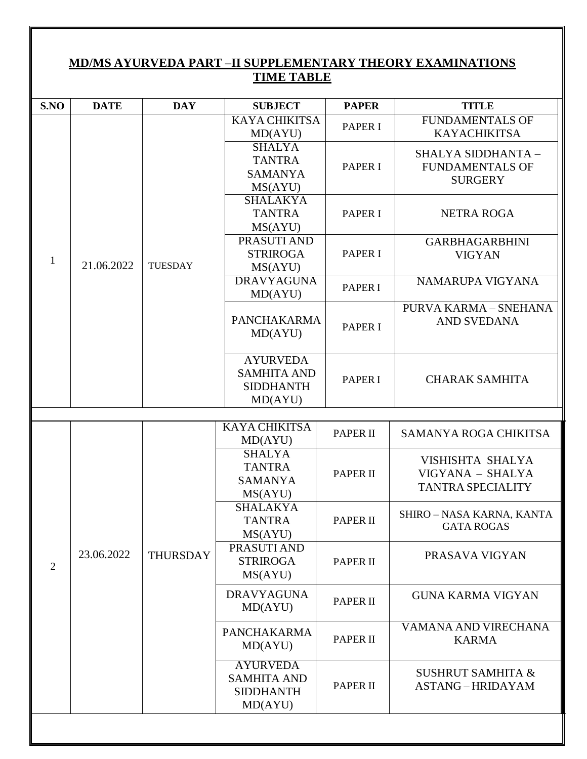| MD/MS AYURVEDA PART - II SUPPLEMENTARY THEORY EXAMINATIONS<br><b>TIME TABLE</b> |             |                 |                                                                      |                 |                                                                  |  |
|---------------------------------------------------------------------------------|-------------|-----------------|----------------------------------------------------------------------|-----------------|------------------------------------------------------------------|--|
|                                                                                 |             |                 |                                                                      |                 |                                                                  |  |
| S.NO                                                                            | <b>DATE</b> | <b>DAY</b>      | <b>SUBJECT</b>                                                       | <b>PAPER</b>    | <b>TITLE</b>                                                     |  |
| $\mathbf{1}$                                                                    | 21.06.2022  | <b>TUESDAY</b>  | <b>KAYA CHIKITSA</b><br>MD(AYU)                                      | <b>PAPER I</b>  | <b>FUNDAMENTALS OF</b><br><b>KAYACHIKITSA</b>                    |  |
|                                                                                 |             |                 | <b>SHALYA</b><br><b>TANTRA</b><br><b>SAMANYA</b><br>MS(AYU)          | <b>PAPER I</b>  | SHALYA SIDDHANTA -<br><b>FUNDAMENTALS OF</b><br><b>SURGERY</b>   |  |
|                                                                                 |             |                 | <b>SHALAKYA</b><br><b>TANTRA</b><br>MS(AYU)                          | <b>PAPER I</b>  | <b>NETRA ROGA</b>                                                |  |
|                                                                                 |             |                 | PRASUTI AND<br><b>STRIROGA</b><br>MS(AYU)                            | <b>PAPER I</b>  | <b>GARBHAGARBHINI</b><br><b>VIGYAN</b>                           |  |
|                                                                                 |             |                 | <b>DRAVYAGUNA</b><br>MD(AYU)                                         | <b>PAPER I</b>  | NAMARUPA VIGYANA                                                 |  |
|                                                                                 |             |                 | <b>PANCHAKARMA</b><br>MD(AYU)                                        | <b>PAPER I</b>  | <b>PURVA KARMA - SNEHANA</b><br><b>AND SVEDANA</b>               |  |
|                                                                                 |             |                 | <b>AYURVEDA</b><br><b>SAMHITA AND</b><br><b>SIDDHANTH</b><br>MD(AYU) | <b>PAPER I</b>  | <b>CHARAK SAMHITA</b>                                            |  |
|                                                                                 |             |                 |                                                                      |                 |                                                                  |  |
|                                                                                 | 23.06.2022  |                 | <b>KAYA CHIKITSA</b><br>MD(AYU)                                      | <b>PAPER II</b> | SAMANYA ROGA CHIKITSA                                            |  |
| 2                                                                               |             | <b>THURSDAY</b> | <b>SHALYA</b><br><b>TANTRA</b><br><b>SAMANYA</b><br>MS(AYU)          | <b>PAPER II</b> | VISHISHTA SHALYA<br>VIGYANA - SHALYA<br><b>TANTRA SPECIALITY</b> |  |
|                                                                                 |             |                 | <b>SHALAKYA</b><br><b>TANTRA</b><br>MS(AYU)                          | <b>PAPER II</b> | SHIRO - NASA KARNA, KANTA<br><b>GATA ROGAS</b>                   |  |
|                                                                                 |             |                 | PRASUTI AND<br><b>STRIROGA</b><br>MS(AYU)                            | <b>PAPER II</b> | PRASAVA VIGYAN                                                   |  |
|                                                                                 |             |                 | <b>DRAVYAGUNA</b><br>MD(AYU)                                         | <b>PAPER II</b> | <b>GUNA KARMA VIGYAN</b>                                         |  |
|                                                                                 |             |                 | <b>PANCHAKARMA</b><br>MD(AYU)                                        | <b>PAPER II</b> | VAMANA AND VIRECHANA<br><b>KARMA</b>                             |  |
|                                                                                 |             |                 | <b>AYURVEDA</b><br><b>SAMHITA AND</b><br><b>SIDDHANTH</b><br>MD(AYU) | <b>PAPER II</b> | <b>SUSHRUT SAMHITA &amp;</b><br><b>ASTANG-HRIDAYAM</b>           |  |
|                                                                                 |             |                 |                                                                      |                 |                                                                  |  |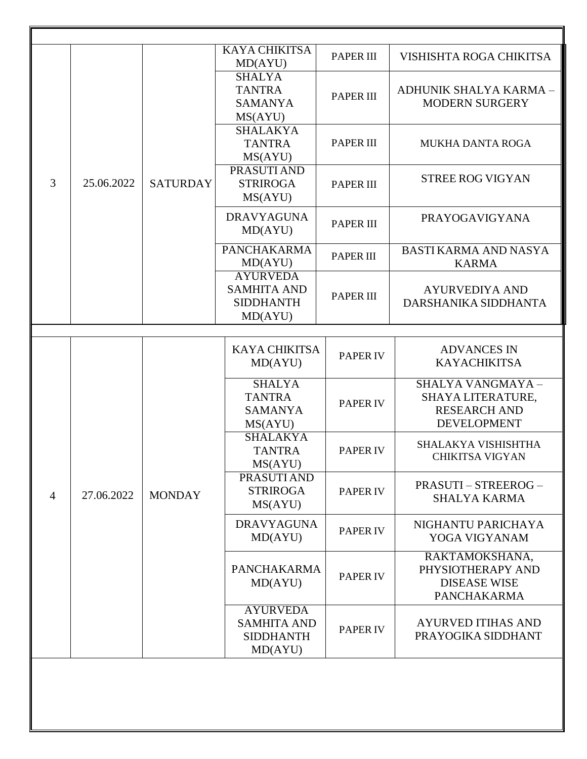| 3              | 25.06.2022 | <b>SATURDAY</b> | <b>KAYA CHIKITSA</b><br>MD(AYU)                                      | <b>PAPER III</b> | VISHISHTA ROGA CHIKITSA                                                             |
|----------------|------------|-----------------|----------------------------------------------------------------------|------------------|-------------------------------------------------------------------------------------|
|                |            |                 | <b>SHALYA</b><br><b>TANTRA</b><br><b>SAMANYA</b><br>MS(AYU)          | <b>PAPER III</b> | ADHUNIK SHALYA KARMA -<br><b>MODERN SURGERY</b>                                     |
|                |            |                 | <b>SHALAKYA</b><br><b>TANTRA</b><br>MS(AYU)                          | <b>PAPER III</b> | <b>MUKHA DANTA ROGA</b>                                                             |
|                |            |                 | PRASUTI AND<br><b>STRIROGA</b><br>MS(AYU)                            | <b>PAPER III</b> | <b>STREE ROG VIGYAN</b>                                                             |
|                |            |                 | <b>DRAVYAGUNA</b><br>MD(AYU)                                         | <b>PAPER III</b> | PRAYOGAVIGYANA                                                                      |
|                |            |                 | <b>PANCHAKARMA</b><br>MD(AYU)                                        | <b>PAPER III</b> | <b>BASTI KARMA AND NASYA</b><br><b>KARMA</b>                                        |
|                |            |                 | <b>AYURVEDA</b><br><b>SAMHITA AND</b><br><b>SIDDHANTH</b><br>MD(AYU) | <b>PAPER III</b> | <b>AYURVEDIYA AND</b><br>DARSHANIKA SIDDHANTA                                       |
|                |            |                 |                                                                      |                  |                                                                                     |
| $\overline{4}$ | 27.06.2022 | <b>MONDAY</b>   | <b>KAYA CHIKITSA</b><br>MD(AYU)                                      | <b>PAPER IV</b>  | <b>ADVANCES IN</b><br><b>KAYACHIKITSA</b>                                           |
|                |            |                 | <b>SHALYA</b><br><b>TANTRA</b><br><b>SAMANYA</b><br>MS(AYU)          | <b>PAPER IV</b>  | SHALYA VANGMAYA -<br>SHAYA LITERATURE,<br><b>RESEARCH AND</b><br><b>DEVELOPMENT</b> |
|                |            |                 | <b>SHALAKYA</b><br><b>TANTRA</b><br>MS(AYU)                          | <b>PAPER IV</b>  | SHALAKYA VISHISHTHA<br><b>CHIKITSA VIGYAN</b>                                       |
|                |            |                 | <b>PRASUTIAND</b><br><b>STRIROGA</b><br>MS(AYU)                      | <b>PAPER IV</b>  | <b>PRASUTI-STREEROG-</b><br><b>SHALYA KARMA</b>                                     |
|                |            |                 | <b>DRAVYAGUNA</b><br>MD(AYU)                                         | <b>PAPER IV</b>  | NIGHANTU PARICHAYA<br>YOGA VIGYANAM                                                 |
|                |            |                 | PANCHAKARMA<br>MD(AYU)                                               | <b>PAPER IV</b>  | RAKTAMOKSHANA,<br>PHYSIOTHERAPY AND<br><b>DISEASE WISE</b><br><b>PANCHAKARMA</b>    |
|                |            |                 | <b>AYURVEDA</b><br><b>SAMHITA AND</b><br><b>SIDDHANTH</b><br>MD(AYU) | <b>PAPER IV</b>  | <b>AYURVED ITIHAS AND</b><br>PRAYOGIKA SIDDHANT                                     |
|                |            |                 |                                                                      |                  |                                                                                     |